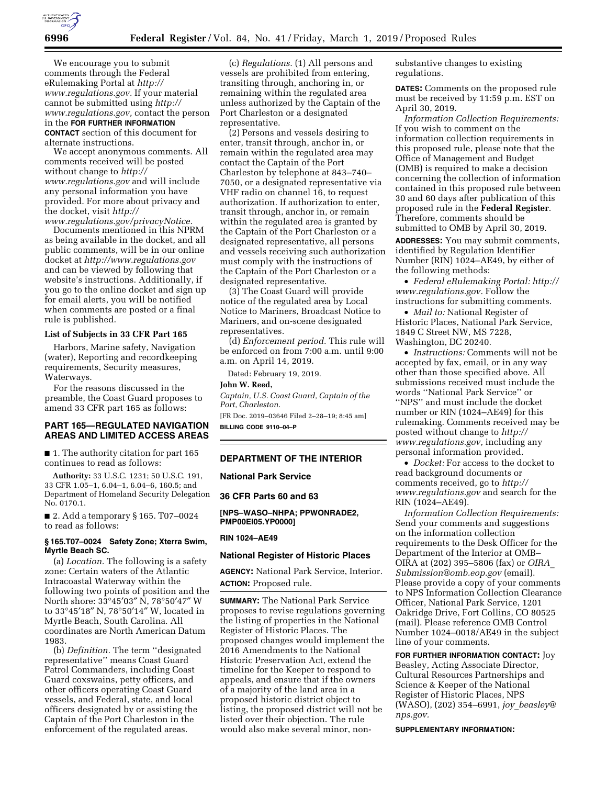

We encourage you to submit comments through the Federal eRulemaking Portal at *http:// www.regulations.gov.* If your material cannot be submitted using *http:// www.regulations.gov,* contact the person in the **FOR FURTHER INFORMATION CONTACT** section of this document for alternate instructions.

We accept anonymous comments. All comments received will be posted without change to *http:// www.regulations.gov* and will include any personal information you have provided. For more about privacy and the docket, visit *http://*

*www.regulations.gov/privacyNotice.*  Documents mentioned in this NPRM as being available in the docket, and all public comments, will be in our online docket at *http://www.regulations.gov*  and can be viewed by following that website's instructions. Additionally, if you go to the online docket and sign up for email alerts, you will be notified when comments are posted or a final rule is published.

### **List of Subjects in 33 CFR Part 165**

Harbors, Marine safety, Navigation (water), Reporting and recordkeeping requirements, Security measures, Waterways.

For the reasons discussed in the preamble, the Coast Guard proposes to amend 33 CFR part 165 as follows:

### **PART 165—REGULATED NAVIGATION AREAS AND LIMITED ACCESS AREAS**

■ 1. The authority citation for part 165 continues to read as follows:

**Authority:** 33 U.S.C. 1231; 50 U.S.C. 191, 33 CFR 1.05–1, 6.04–1, 6.04–6, 160.5; and Department of Homeland Security Delegation No. 0170.1.

■ 2. Add a temporary § 165. T07-0024 to read as follows:

### **§ 165.T07–0024 Safety Zone; Xterra Swim, Myrtle Beach SC.**

(a) *Location.* The following is a safety zone: Certain waters of the Atlantic Intracoastal Waterway within the following two points of position and the North shore: 33°45′03″ N, 78°50′47″ W to 33°45′18″ N, 78°50′14″ W, located in Myrtle Beach, South Carolina. All coordinates are North American Datum 1983.

(b) *Definition.* The term ''designated representative'' means Coast Guard Patrol Commanders, including Coast Guard coxswains, petty officers, and other officers operating Coast Guard vessels, and Federal, state, and local officers designated by or assisting the Captain of the Port Charleston in the enforcement of the regulated areas.

(c) *Regulations.* (1) All persons and vessels are prohibited from entering, transiting through, anchoring in, or remaining within the regulated area unless authorized by the Captain of the Port Charleston or a designated representative.

(2) Persons and vessels desiring to enter, transit through, anchor in, or remain within the regulated area may contact the Captain of the Port Charleston by telephone at 843–740– 7050, or a designated representative via VHF radio on channel 16, to request authorization. If authorization to enter, transit through, anchor in, or remain within the regulated area is granted by the Captain of the Port Charleston or a designated representative, all persons and vessels receiving such authorization must comply with the instructions of the Captain of the Port Charleston or a designated representative.

(3) The Coast Guard will provide notice of the regulated area by Local Notice to Mariners, Broadcast Notice to Mariners, and on-scene designated representatives.

(d) *Enforcement period.* This rule will be enforced on from 7:00 a.m. until 9:00 a.m. on April 14, 2019.

Dated: February 19, 2019.

### **John W. Reed,**

*Captain, U.S. Coast Guard, Captain of the Port, Charleston.* 

[FR Doc. 2019–03646 Filed 2–28–19; 8:45 am] **BILLING CODE 9110–04–P** 

## **DEPARTMENT OF THE INTERIOR**

### **National Park Service**

#### **36 CFR Parts 60 and 63**

**[NPS–WASO–NHPA; PPWONRADE2, PMP00EI05.YP0000]** 

### **RIN 1024–AE49**

#### **National Register of Historic Places**

**AGENCY:** National Park Service, Interior. **ACTION:** Proposed rule.

**SUMMARY:** The National Park Service proposes to revise regulations governing the listing of properties in the National Register of Historic Places. The proposed changes would implement the 2016 Amendments to the National Historic Preservation Act, extend the timeline for the Keeper to respond to appeals, and ensure that if the owners of a majority of the land area in a proposed historic district object to listing, the proposed district will not be listed over their objection. The rule would also make several minor, nonsubstantive changes to existing regulations.

**DATES:** Comments on the proposed rule must be received by 11:59 p.m. EST on April 30, 2019.

*Information Collection Requirements:*  If you wish to comment on the information collection requirements in this proposed rule, please note that the Office of Management and Budget (OMB) is required to make a decision concerning the collection of information contained in this proposed rule between 30 and 60 days after publication of this proposed rule in the **Federal Register**. Therefore, comments should be submitted to OMB by April 30, 2019.

**ADDRESSES:** You may submit comments, identified by Regulation Identifier Number (RIN) 1024–AE49, by either of the following methods:

• *Federal eRulemaking Portal: http:// www.regulations.gov.* Follow the instructions for submitting comments.

• *Mail to:* National Register of Historic Places, National Park Service, 1849 C Street NW, MS 7228, Washington, DC 20240.

• *Instructions:* Comments will not be accepted by fax, email, or in any way other than those specified above. All submissions received must include the words ''National Park Service'' or ''NPS'' and must include the docket number or RIN (1024–AE49) for this rulemaking. Comments received may be posted without change to *http:// www.regulations.gov,* including any personal information provided.

• *Docket:* For access to the docket to read background documents or comments received, go to *http:// www.regulations.gov* and search for the RIN (1024–AE49).

*Information Collection Requirements:*  Send your comments and suggestions on the information collection requirements to the Desk Officer for the Department of the Interior at OMB– OIRA at (202) 395–5806 (fax) or *OIRA*\_ *Submission@omb.eop.gov* (email). Please provide a copy of your comments to NPS Information Collection Clearance Officer, National Park Service, 1201 Oakridge Drive, Fort Collins, CO 80525 (mail). Please reference OMB Control Number 1024–0018/AE49 in the subject line of your comments.

**FOR FURTHER INFORMATION CONTACT:** Joy Beasley, Acting Associate Director, Cultural Resources Partnerships and Science & Keeper of the National Register of Historic Places, NPS (WASO), (202) 354–6991, *joy*\_*beasley@ nps.gov.* 

**SUPPLEMENTARY INFORMATION:**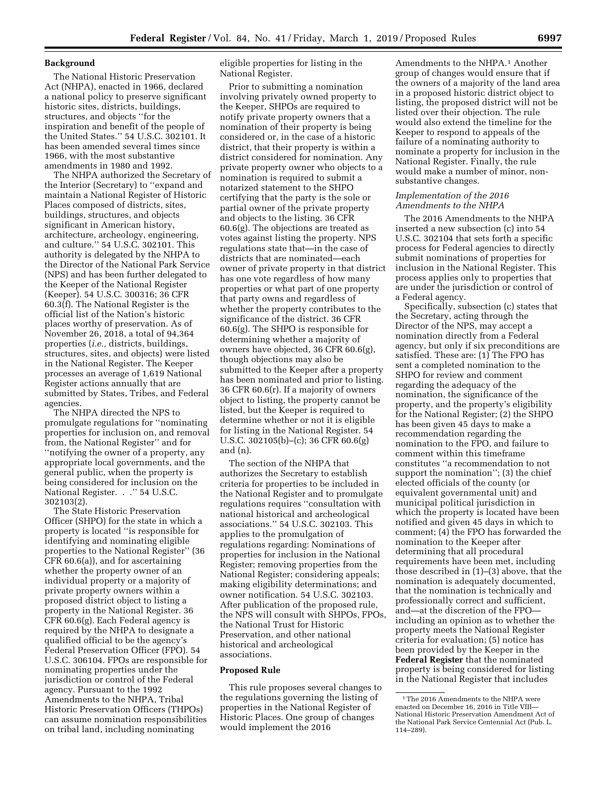# **Background**

The National Historic Preservation Act (NHPA), enacted in 1966, declared a national policy to preserve significant historic sites, districts, buildings, structures, and objects ''for the inspiration and benefit of the people of the United States.'' 54 U.S.C. 302101. It has been amended several times since 1966, with the most substantive amendments in 1980 and 1992.

The NHPA authorized the Secretary of the Interior (Secretary) to ''expand and maintain a National Register of Historic Places composed of districts, sites, buildings, structures, and objects significant in American history, architecture, archeology, engineering, and culture.'' 54 U.S.C. 302101. This authority is delegated by the NHPA to the Director of the National Park Service (NPS) and has been further delegated to the Keeper of the National Register (Keeper). 54 U.S.C. 300316; 36 CFR 60.3(f). The National Register is the official list of the Nation's historic places worthy of preservation. As of November 26, 2018, a total of 94,364 properties (*i.e.,* districts, buildings, structures, sites, and objects) were listed in the National Register. The Keeper processes an average of 1,619 National Register actions annually that are submitted by States, Tribes, and Federal agencies.

The NHPA directed the NPS to promulgate regulations for ''nominating properties for inclusion on, and removal from, the National Register'' and for ''notifying the owner of a property, any appropriate local governments, and the general public, when the property is being considered for inclusion on the National Register. . .'' 54 U.S.C. 302103(2).

The State Historic Preservation Officer (SHPO) for the state in which a property is located ''is responsible for identifying and nominating eligible properties to the National Register'' (36 CFR 60.6(a)), and for ascertaining whether the property owner of an individual property or a majority of private property owners within a proposed district object to listing a property in the National Register. 36 CFR 60.6(g). Each Federal agency is required by the NHPA to designate a qualified official to be the agency's Federal Preservation Officer (FPO). 54 U.S.C. 306104. FPOs are responsible for nominating properties under the jurisdiction or control of the Federal agency. Pursuant to the 1992 Amendments to the NHPA, Tribal Historic Preservation Officers (THPOs) can assume nomination responsibilities on tribal land, including nominating

eligible properties for listing in the National Register.

Prior to submitting a nomination involving privately owned property to the Keeper, SHPOs are required to notify private property owners that a nomination of their property is being considered or, in the case of a historic district, that their property is within a district considered for nomination. Any private property owner who objects to a nomination is required to submit a notarized statement to the SHPO certifying that the party is the sole or partial owner of the private property and objects to the listing. 36 CFR 60.6(g). The objections are treated as votes against listing the property. NPS regulations state that—in the case of districts that are nominated—each owner of private property in that district has one vote regardless of how many properties or what part of one property that party owns and regardless of whether the property contributes to the significance of the district. 36 CFR 60.6(g). The SHPO is responsible for determining whether a majority of owners have objected, 36 CFR 60.6(g), though objections may also be submitted to the Keeper after a property has been nominated and prior to listing. 36 CFR 60.6(r). If a majority of owners object to listing, the property cannot be listed, but the Keeper is required to determine whether or not it is eligible for listing in the National Register. 54 U.S.C. 302105(b)–(c); 36 CFR 60.6(g) and (n).

The section of the NHPA that authorizes the Secretary to establish criteria for properties to be included in the National Register and to promulgate regulations requires ''consultation with national historical and archeological associations.'' 54 U.S.C. 302103. This applies to the promulgation of regulations regarding: Nominations of properties for inclusion in the National Register; removing properties from the National Register; considering appeals; making eligibility determinations; and owner notification. 54 U.S.C. 302103. After publication of the proposed rule, the NPS will consult with SHPOs, FPOs, the National Trust for Historic Preservation, and other national historical and archeological associations.

# **Proposed Rule**

This rule proposes several changes to the regulations governing the listing of properties in the National Register of Historic Places. One group of changes would implement the 2016

Amendments to the NHPA.<sup>1</sup> Another group of changes would ensure that if the owners of a majority of the land area in a proposed historic district object to listing, the proposed district will not be listed over their objection. The rule would also extend the timeline for the Keeper to respond to appeals of the failure of a nominating authority to nominate a property for inclusion in the National Register. Finally, the rule would make a number of minor, nonsubstantive changes.

# *Implementation of the 2016 Amendments to the NHPA*

The 2016 Amendments to the NHPA inserted a new subsection (c) into 54 U.S.C. 302104 that sets forth a specific process for Federal agencies to directly submit nominations of properties for inclusion in the National Register. This process applies only to properties that are under the jurisdiction or control of a Federal agency.

Specifically, subsection (c) states that the Secretary, acting through the Director of the NPS, may accept a nomination directly from a Federal agency, but only if six preconditions are satisfied. These are: (1) The FPO has sent a completed nomination to the SHPO for review and comment regarding the adequacy of the nomination, the significance of the property, and the property's eligibility for the National Register; (2) the SHPO has been given 45 days to make a recommendation regarding the nomination to the FPO, and failure to comment within this timeframe constitutes ''a recommendation to not support the nomination''; (3) the chief elected officials of the county (or equivalent governmental unit) and municipal political jurisdiction in which the property is located have been notified and given 45 days in which to comment; (4) the FPO has forwarded the nomination to the Keeper after determining that all procedural requirements have been met, including those described in (1)–(3) above, that the nomination is adequately documented, that the nomination is technically and professionally correct and sufficient, and—at the discretion of the FPO including an opinion as to whether the property meets the National Register criteria for evaluation; (5) notice has been provided by the Keeper in the **Federal Register** that the nominated property is being considered for listing in the National Register that includes

<sup>&</sup>lt;sup>1</sup>The 2016 Amendments to the NHPA were enacted on December 16, 2016 in Title VIII— National Historic Preservation Amendment Act of the National Park Service Centennial Act (Pub. L. 114–289).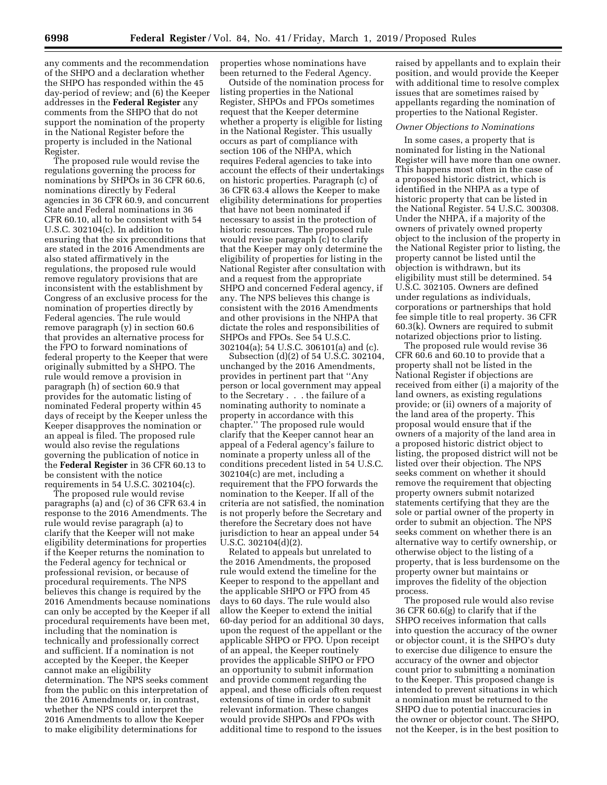any comments and the recommendation of the SHPO and a declaration whether the SHPO has responded within the 45 day-period of review; and (6) the Keeper addresses in the **Federal Register** any comments from the SHPO that do not support the nomination of the property in the National Register before the property is included in the National Register.

The proposed rule would revise the regulations governing the process for nominations by SHPOs in 36 CFR 60.6, nominations directly by Federal agencies in 36 CFR 60.9, and concurrent State and Federal nominations in 36 CFR 60.10, all to be consistent with 54 U.S.C. 302104(c). In addition to ensuring that the six preconditions that are stated in the 2016 Amendments are also stated affirmatively in the regulations, the proposed rule would remove regulatory provisions that are inconsistent with the establishment by Congress of an exclusive process for the nomination of properties directly by Federal agencies. The rule would remove paragraph (y) in section 60.6 that provides an alternative process for the FPO to forward nominations of federal property to the Keeper that were originally submitted by a SHPO. The rule would remove a provision in paragraph (h) of section 60.9 that provides for the automatic listing of nominated Federal property within 45 days of receipt by the Keeper unless the Keeper disapproves the nomination or an appeal is filed. The proposed rule would also revise the regulations governing the publication of notice in the **Federal Register** in 36 CFR 60.13 to be consistent with the notice requirements in 54 U.S.C. 302104(c).

The proposed rule would revise paragraphs (a) and (c) of 36 CFR 63.4 in response to the 2016 Amendments. The rule would revise paragraph (a) to clarify that the Keeper will not make eligibility determinations for properties if the Keeper returns the nomination to the Federal agency for technical or professional revision, or because of procedural requirements. The NPS believes this change is required by the 2016 Amendments because nominations can only be accepted by the Keeper if all procedural requirements have been met, including that the nomination is technically and professionally correct and sufficient. If a nomination is not accepted by the Keeper, the Keeper cannot make an eligibility determination. The NPS seeks comment from the public on this interpretation of the 2016 Amendments or, in contrast, whether the NPS could interpret the 2016 Amendments to allow the Keeper to make eligibility determinations for

properties whose nominations have been returned to the Federal Agency.

Outside of the nomination process for listing properties in the National Register, SHPOs and FPOs sometimes request that the Keeper determine whether a property is eligible for listing in the National Register. This usually occurs as part of compliance with section 106 of the NHPA, which requires Federal agencies to take into account the effects of their undertakings on historic properties. Paragraph (c) of 36 CFR 63.4 allows the Keeper to make eligibility determinations for properties that have not been nominated if necessary to assist in the protection of historic resources. The proposed rule would revise paragraph (c) to clarify that the Keeper may only determine the eligibility of properties for listing in the National Register after consultation with and a request from the appropriate SHPO and concerned Federal agency, if any. The NPS believes this change is consistent with the 2016 Amendments and other provisions in the NHPA that dictate the roles and responsibilities of SHPOs and FPOs. See 54 U.S.C. 302104(a); 54 U.S.C. 306101(a) and (c).

Subsection (d)(2) of 54 U.S.C. 302104, unchanged by the 2016 Amendments, provides in pertinent part that ''Any person or local government may appeal to the Secretary . . . the failure of a nominating authority to nominate a property in accordance with this chapter.'' The proposed rule would clarify that the Keeper cannot hear an appeal of a Federal agency's failure to nominate a property unless all of the conditions precedent listed in 54 U.S.C. 302104(c) are met, including a requirement that the FPO forwards the nomination to the Keeper. If all of the criteria are not satisfied, the nomination is not properly before the Secretary and therefore the Secretary does not have jurisdiction to hear an appeal under 54 U.S.C. 302104(d)(2).

Related to appeals but unrelated to the 2016 Amendments, the proposed rule would extend the timeline for the Keeper to respond to the appellant and the applicable SHPO or FPO from 45 days to 60 days. The rule would also allow the Keeper to extend the initial 60-day period for an additional 30 days, upon the request of the appellant or the applicable SHPO or FPO. Upon receipt of an appeal, the Keeper routinely provides the applicable SHPO or FPO an opportunity to submit information and provide comment regarding the appeal, and these officials often request extensions of time in order to submit relevant information. These changes would provide SHPOs and FPOs with additional time to respond to the issues

raised by appellants and to explain their position, and would provide the Keeper with additional time to resolve complex issues that are sometimes raised by appellants regarding the nomination of properties to the National Register.

#### *Owner Objections to Nominations*

In some cases, a property that is nominated for listing in the National Register will have more than one owner. This happens most often in the case of a proposed historic district, which is identified in the NHPA as a type of historic property that can be listed in the National Register. 54 U.S.C. 300308. Under the NHPA, if a majority of the owners of privately owned property object to the inclusion of the property in the National Register prior to listing, the property cannot be listed until the objection is withdrawn, but its eligibility must still be determined. 54 U.S.C. 302105. Owners are defined under regulations as individuals, corporations or partnerships that hold fee simple title to real property. 36 CFR 60.3(k). Owners are required to submit notarized objections prior to listing.

The proposed rule would revise 36 CFR 60.6 and 60.10 to provide that a property shall not be listed in the National Register if objections are received from either (i) a majority of the land owners, as existing regulations provide; or (ii) owners of a majority of the land area of the property. This proposal would ensure that if the owners of a majority of the land area in a proposed historic district object to listing, the proposed district will not be listed over their objection. The NPS seeks comment on whether it should remove the requirement that objecting property owners submit notarized statements certifying that they are the sole or partial owner of the property in order to submit an objection. The NPS seeks comment on whether there is an alternative way to certify ownership, or otherwise object to the listing of a property, that is less burdensome on the property owner but maintains or improves the fidelity of the objection process.

The proposed rule would also revise 36 CFR 60.6(g) to clarify that if the SHPO receives information that calls into question the accuracy of the owner or objector count, it is the SHPO's duty to exercise due diligence to ensure the accuracy of the owner and objector count prior to submitting a nomination to the Keeper. This proposed change is intended to prevent situations in which a nomination must be returned to the SHPO due to potential inaccuracies in the owner or objector count. The SHPO, not the Keeper, is in the best position to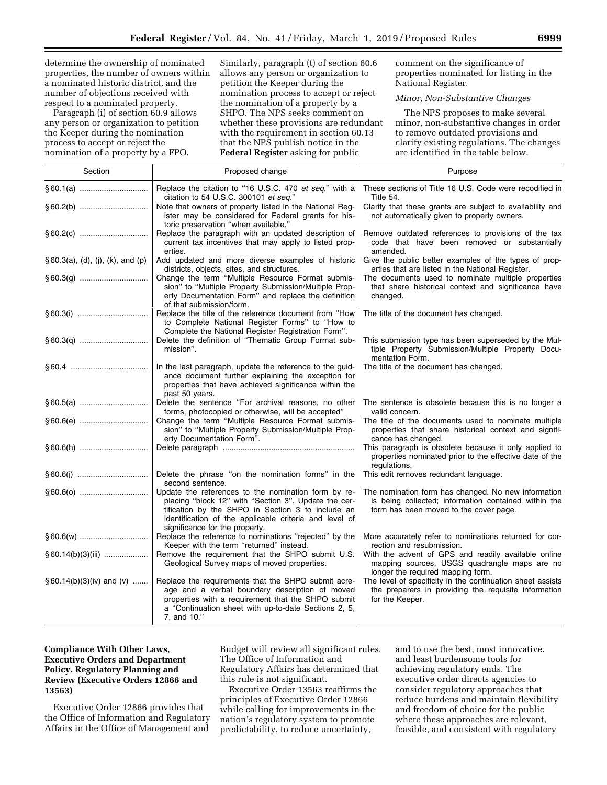determine the ownership of nominated properties, the number of owners within a nominated historic district, and the number of objections received with respect to a nominated property.

Paragraph (i) of section 60.9 allows any person or organization to petition the Keeper during the nomination process to accept or reject the nomination of a property by a FPO.

Similarly, paragraph (t) of section 60.6 allows any person or organization to petition the Keeper during the nomination process to accept or reject the nomination of a property by a SHPO. The NPS seeks comment on whether these provisions are redundant with the requirement in section 60.13 that the NPS publish notice in the **Federal Register** asking for public

comment on the significance of properties nominated for listing in the National Register.

### *Minor, Non-Substantive Changes*

The NPS proposes to make several minor, non-substantive changes in order to remove outdated provisions and clarify existing regulations. The changes are identified in the table below.

| Section                           | Proposed change                                                                                                                                                                                                                                              | Purpose                                                                                                                                               |
|-----------------------------------|--------------------------------------------------------------------------------------------------------------------------------------------------------------------------------------------------------------------------------------------------------------|-------------------------------------------------------------------------------------------------------------------------------------------------------|
|                                   | Replace the citation to "16 U.S.C. 470 et seq." with a<br>citation to 54 U.S.C. 300101 et seq."                                                                                                                                                              | These sections of Title 16 U.S. Code were recodified in<br>Title 54.                                                                                  |
|                                   | Note that owners of property listed in the National Reg-<br>ister may be considered for Federal grants for his-<br>toric preservation "when available."                                                                                                      | Clarify that these grants are subject to availability and<br>not automatically given to property owners.                                              |
|                                   | Replace the paragraph with an updated description of<br>current tax incentives that may apply to listed prop-<br>erties.                                                                                                                                     | Remove outdated references to provisions of the tax<br>code that have been removed or substantially<br>amended.                                       |
| § 60.3(a), (d), (j), (k), and (p) | Add updated and more diverse examples of historic<br>districts, objects, sites, and structures.                                                                                                                                                              | Give the public better examples of the types of prop-<br>erties that are listed in the National Register.                                             |
|                                   | Change the term "Multiple Resource Format submis-<br>sion" to "Multiple Property Submission/Multiple Prop-<br>erty Documentation Form" and replace the definition<br>of that submission/form.                                                                | The documents used to nominate multiple properties<br>that share historical context and significance have<br>changed.                                 |
|                                   | Replace the title of the reference document from "How<br>to Complete National Register Forms" to "How to<br>Complete the National Register Registration Form".                                                                                               | The title of the document has changed.                                                                                                                |
|                                   | Delete the definition of "Thematic Group Format sub-<br>mission".                                                                                                                                                                                            | This submission type has been superseded by the Mul-<br>tiple Property Submission/Multiple Property Docu-<br>mentation Form.                          |
|                                   | In the last paragraph, update the reference to the guid-<br>ance document further explaining the exception for<br>properties that have achieved significance within the<br>past 50 years.                                                                    | The title of the document has changed.                                                                                                                |
|                                   | Delete the sentence "For archival reasons, no other<br>forms, photocopied or otherwise, will be accepted"                                                                                                                                                    | The sentence is obsolete because this is no longer a<br>valid concern.                                                                                |
|                                   | Change the term "Multiple Resource Format submis-<br>sion" to "Multiple Property Submission/Multiple Prop-<br>erty Documentation Form".                                                                                                                      | The title of the documents used to nominate multiple<br>properties that share historical context and signifi-<br>cance has changed.                   |
|                                   |                                                                                                                                                                                                                                                              | This paragraph is obsolete because it only applied to<br>properties nominated prior to the effective date of the<br>regulations.                      |
|                                   | Delete the phrase "on the nomination forms" in the<br>second sentence.                                                                                                                                                                                       | This edit removes redundant language.                                                                                                                 |
|                                   | Update the references to the nomination form by re-<br>placing "block 12" with "Section 3". Update the cer-<br>tification by the SHPO in Section 3 to include an<br>identification of the applicable criteria and level of<br>significance for the property. | The nomination form has changed. No new information<br>is being collected; information contained within the<br>form has been moved to the cover page. |
|                                   | Replace the reference to nominations "rejected" by the<br>Keeper with the term "returned" instead.                                                                                                                                                           | More accurately refer to nominations returned for cor-<br>rection and resubmission.                                                                   |
| $§ 60.14(b)(3)(iii)$              | Remove the requirement that the SHPO submit U.S.<br>Geological Survey maps of moved properties.                                                                                                                                                              | With the advent of GPS and readily available online<br>mapping sources, USGS quadrangle maps are no<br>longer the required mapping form.              |
| $§ 60.14(b)(3)(iv)$ and $(v)$     | Replace the requirements that the SHPO submit acre-<br>age and a verbal boundary description of moved<br>properties with a requirement that the SHPO submit<br>a "Continuation sheet with up-to-date Sections 2, 5,<br>7, and 10."                           | The level of specificity in the continuation sheet assists<br>the preparers in providing the requisite information<br>for the Keeper.                 |

# **Compliance With Other Laws, Executive Orders and Department Policy. Regulatory Planning and Review (Executive Orders 12866 and 13563)**

Executive Order 12866 provides that the Office of Information and Regulatory Affairs in the Office of Management and

Budget will review all significant rules. The Office of Information and Regulatory Affairs has determined that this rule is not significant.

Executive Order 13563 reaffirms the principles of Executive Order 12866 while calling for improvements in the nation's regulatory system to promote predictability, to reduce uncertainty,

and to use the best, most innovative, and least burdensome tools for achieving regulatory ends. The executive order directs agencies to consider regulatory approaches that reduce burdens and maintain flexibility and freedom of choice for the public where these approaches are relevant, feasible, and consistent with regulatory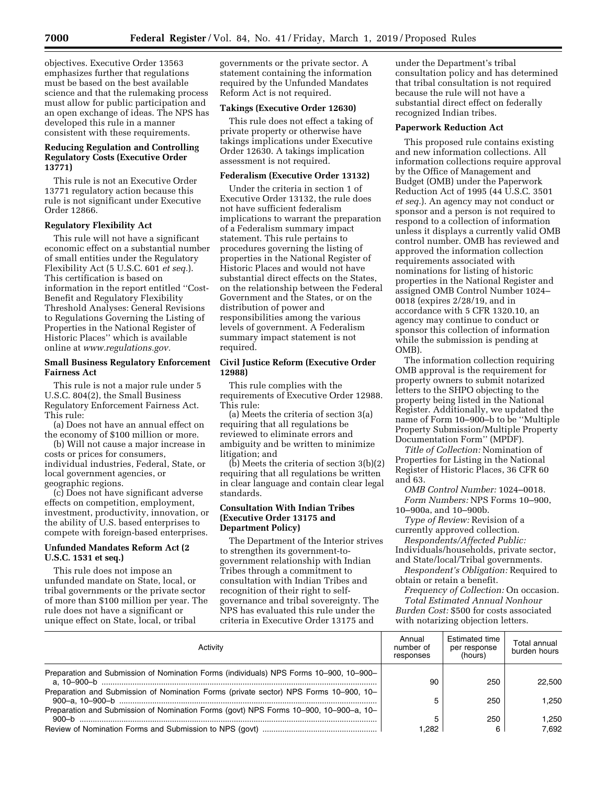objectives. Executive Order 13563 emphasizes further that regulations must be based on the best available science and that the rulemaking process must allow for public participation and an open exchange of ideas. The NPS has developed this rule in a manner consistent with these requirements.

# **Reducing Regulation and Controlling Regulatory Costs (Executive Order 13771)**

This rule is not an Executive Order 13771 regulatory action because this rule is not significant under Executive Order 12866.

# **Regulatory Flexibility Act**

This rule will not have a significant economic effect on a substantial number of small entities under the Regulatory Flexibility Act (5 U.S.C. 601 *et seq.*). This certification is based on information in the report entitled ''Cost-Benefit and Regulatory Flexibility Threshold Analyses: General Revisions to Regulations Governing the Listing of Properties in the National Register of Historic Places'' which is available online at *www.regulations.gov.* 

### **Small Business Regulatory Enforcement Fairness Act**

This rule is not a major rule under 5 U.S.C. 804(2), the Small Business Regulatory Enforcement Fairness Act. This rule:

(a) Does not have an annual effect on the economy of \$100 million or more.

(b) Will not cause a major increase in costs or prices for consumers, individual industries, Federal, State, or local government agencies, or geographic regions.

(c) Does not have significant adverse effects on competition, employment, investment, productivity, innovation, or the ability of U.S. based enterprises to compete with foreign-based enterprises.

# **Unfunded Mandates Reform Act (2 U.S.C. 1531 et seq.)**

This rule does not impose an unfunded mandate on State, local, or tribal governments or the private sector of more than \$100 million per year. The rule does not have a significant or unique effect on State, local, or tribal

governments or the private sector. A statement containing the information required by the Unfunded Mandates Reform Act is not required.

## **Takings (Executive Order 12630)**

This rule does not effect a taking of private property or otherwise have takings implications under Executive Order 12630. A takings implication assessment is not required.

### **Federalism (Executive Order 13132)**

Under the criteria in section 1 of Executive Order 13132, the rule does not have sufficient federalism implications to warrant the preparation of a Federalism summary impact statement. This rule pertains to procedures governing the listing of properties in the National Register of Historic Places and would not have substantial direct effects on the States, on the relationship between the Federal Government and the States, or on the distribution of power and responsibilities among the various levels of government. A Federalism summary impact statement is not required.

# **Civil Justice Reform (Executive Order 12988)**

This rule complies with the requirements of Executive Order 12988. This rule:

(a) Meets the criteria of section 3(a) requiring that all regulations be reviewed to eliminate errors and ambiguity and be written to minimize litigation; and

 $(b)$  Meets the criteria of section 3 $(b)(2)$ requiring that all regulations be written in clear language and contain clear legal standards.

# **Consultation With Indian Tribes (Executive Order 13175 and Department Policy)**

The Department of the Interior strives to strengthen its government-togovernment relationship with Indian Tribes through a commitment to consultation with Indian Tribes and recognition of their right to selfgovernance and tribal sovereignty. The NPS has evaluated this rule under the criteria in Executive Order 13175 and

under the Department's tribal consultation policy and has determined that tribal consultation is not required because the rule will not have a substantial direct effect on federally recognized Indian tribes.

# **Paperwork Reduction Act**

This proposed rule contains existing and new information collections. All information collections require approval by the Office of Management and Budget (OMB) under the Paperwork Reduction Act of 1995 (44 U.S.C. 3501 *et seq.*). An agency may not conduct or sponsor and a person is not required to respond to a collection of information unless it displays a currently valid OMB control number. OMB has reviewed and approved the information collection requirements associated with nominations for listing of historic properties in the National Register and assigned OMB Control Number 1024– 0018 (expires 2/28/19, and in accordance with 5 CFR 1320.10, an agency may continue to conduct or sponsor this collection of information while the submission is pending at OMB).

The information collection requiring OMB approval is the requirement for property owners to submit notarized letters to the SHPO objecting to the property being listed in the National Register. Additionally, we updated the name of Form 10–900–b to be ''Multiple Property Submission/Multiple Property Documentation Form'' (MPDF).

*Title of Collection:* Nomination of Properties for Listing in the National Register of Historic Places, 36 CFR 60 and 63.

*OMB Control Number:* 1024–0018. *Form Numbers:* NPS Forms 10–900, 10–900a, and 10–900b.

*Type of Review:* Revision of a currently approved collection.

*Respondents/Affected Public:*  Individuals/households, private sector, and State/local/Tribal governments.

*Respondent's Obligation:* Required to obtain or retain a benefit.

*Frequency of Collection:* On occasion. *Total Estimated Annual Nonhour Burden Cost:* \$500 for costs associated with notarizing objection letters.

| Activity                                                                               | Annual<br>number of<br>responses | <b>Estimated time</b><br>per response<br>(hours) | Total annual<br>burden hours |
|----------------------------------------------------------------------------------------|----------------------------------|--------------------------------------------------|------------------------------|
| Preparation and Submission of Nomination Forms (individuals) NPS Forms 10-900, 10-900- | 90                               | 250                                              | 22.500                       |
| Preparation and Submission of Nomination Forms (private sector) NPS Forms 10–900, 10–  |                                  | 250                                              | 1.250                        |
| Preparation and Submission of Nomination Forms (govt) NPS Forms 10-900, 10-900-a, 10-  |                                  | 250                                              | .250                         |
|                                                                                        | .282                             |                                                  | 7.692                        |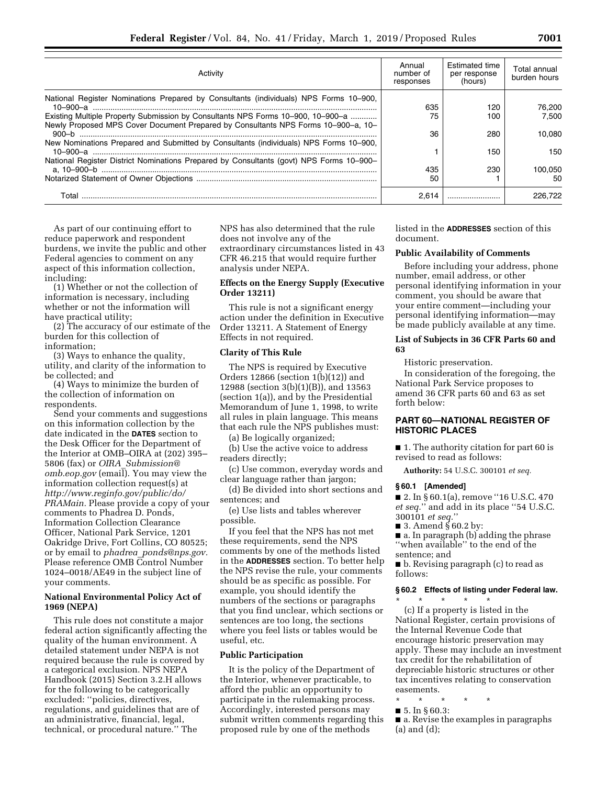| Activity                                                                                                                                                                                                                                                      | Annual<br>number of<br>responses | <b>Estimated time</b><br>per response<br>(hours) | Total annual<br>burden hours |
|---------------------------------------------------------------------------------------------------------------------------------------------------------------------------------------------------------------------------------------------------------------|----------------------------------|--------------------------------------------------|------------------------------|
| National Register Nominations Prepared by Consultants (individuals) NPS Forms 10–900,<br>Existing Multiple Property Submission by Consultants NPS Forms 10-900, 10-900-a<br>Newly Proposed MPS Cover Document Prepared by Consultants NPS Forms 10-900-a, 10- | 635<br>75                        | 120<br>100                                       | 76.200<br>7.500              |
| New Nominations Prepared and Submitted by Consultants (individuals) NPS Forms 10–900,                                                                                                                                                                         | 36                               | 280                                              | 10.080                       |
| National Register District Nominations Prepared by Consultants (govt) NPS Forms 10–900–                                                                                                                                                                       |                                  | 150                                              | 150                          |
|                                                                                                                                                                                                                                                               | 435<br>50                        | 230                                              | 100.050<br>50                |
| Total                                                                                                                                                                                                                                                         | 2.614                            |                                                  | 226,722                      |

As part of our continuing effort to reduce paperwork and respondent burdens, we invite the public and other Federal agencies to comment on any aspect of this information collection, including:

(1) Whether or not the collection of information is necessary, including whether or not the information will have practical utility;

(2) The accuracy of our estimate of the burden for this collection of information;

(3) Ways to enhance the quality, utility, and clarity of the information to be collected; and

(4) Ways to minimize the burden of the collection of information on respondents.

Send your comments and suggestions on this information collection by the date indicated in the **DATES** section to the Desk Officer for the Department of the Interior at OMB–OIRA at (202) 395– 5806 (fax) or *OIRA*\_*Submission@ omb.eop.gov* (email). You may view the information collection request(s) at *http://www.reginfo.gov/public/do/ PRAMain.* Please provide a copy of your comments to Phadrea D. Ponds, Information Collection Clearance Officer, National Park Service, 1201 Oakridge Drive, Fort Collins, CO 80525; or by email to *phadrea*\_*ponds@nps.gov.*  Please reference OMB Control Number 1024–0018/AE49 in the subject line of your comments.

# **National Environmental Policy Act of 1969 (NEPA)**

This rule does not constitute a major federal action significantly affecting the quality of the human environment. A detailed statement under NEPA is not required because the rule is covered by a categorical exclusion. NPS NEPA Handbook (2015) Section 3.2.H allows for the following to be categorically excluded: ''policies, directives, regulations, and guidelines that are of an administrative, financial, legal, technical, or procedural nature.'' The

NPS has also determined that the rule does not involve any of the extraordinary circumstances listed in 43 CFR 46.215 that would require further analysis under NEPA.

# **Effects on the Energy Supply (Executive Order 13211)**

This rule is not a significant energy action under the definition in Executive Order 13211. A Statement of Energy Effects in not required.

### **Clarity of This Rule**

The NPS is required by Executive Orders 12866 (section 1(b)(12)) and 12988 (section 3(b)(1)(B)), and 13563 (section 1(a)), and by the Presidential Memorandum of June 1, 1998, to write all rules in plain language. This means that each rule the NPS publishes must:

(a) Be logically organized;

(b) Use the active voice to address readers directly;

(c) Use common, everyday words and clear language rather than jargon;

(d) Be divided into short sections and sentences; and

(e) Use lists and tables wherever possible.

If you feel that the NPS has not met these requirements, send the NPS comments by one of the methods listed in the **ADDRESSES** section. To better help the NPS revise the rule, your comments should be as specific as possible. For example, you should identify the numbers of the sections or paragraphs that you find unclear, which sections or sentences are too long, the sections where you feel lists or tables would be useful, etc.

# **Public Participation**

It is the policy of the Department of the Interior, whenever practicable, to afford the public an opportunity to participate in the rulemaking process. Accordingly, interested persons may submit written comments regarding this proposed rule by one of the methods

listed in the **ADDRESSES** section of this document.

#### **Public Availability of Comments**

Before including your address, phone number, email address, or other personal identifying information in your comment, you should be aware that your entire comment—including your personal identifying information—may be made publicly available at any time.

### **List of Subjects in 36 CFR Parts 60 and 63**

Historic preservation.

In consideration of the foregoing, the National Park Service proposes to amend 36 CFR parts 60 and 63 as set forth below:

## **PART 60—NATIONAL REGISTER OF HISTORIC PLACES**

■ 1. The authority citation for part 60 is revised to read as follows:

**Authority:** 54 U.S.C. 300101 *et seq.* 

### **§ 60.1 [Amended]**

■ 2. In § 60.1(a), remove "16 U.S.C. 470 *et seq.*'' and add in its place ''54 U.S.C. 300101 *et seq.*''

■ 3. Amend  $§$  60.2 by:

■ a. In paragraph (b) adding the phrase ''when available'' to the end of the sentence; and

■ b. Revising paragraph (c) to read as follows:

# **§ 60.2 Effects of listing under Federal law.**

\* \* \* \* \* (c) If a property is listed in the National Register, certain provisions of the Internal Revenue Code that encourage historic preservation may apply. These may include an investment tax credit for the rehabilitation of depreciable historic structures or other tax incentives relating to conservation easements.

- \* \* \* \* \*
- 5. In § 60.3:

■ a. Revise the examples in paragraphs (a) and (d);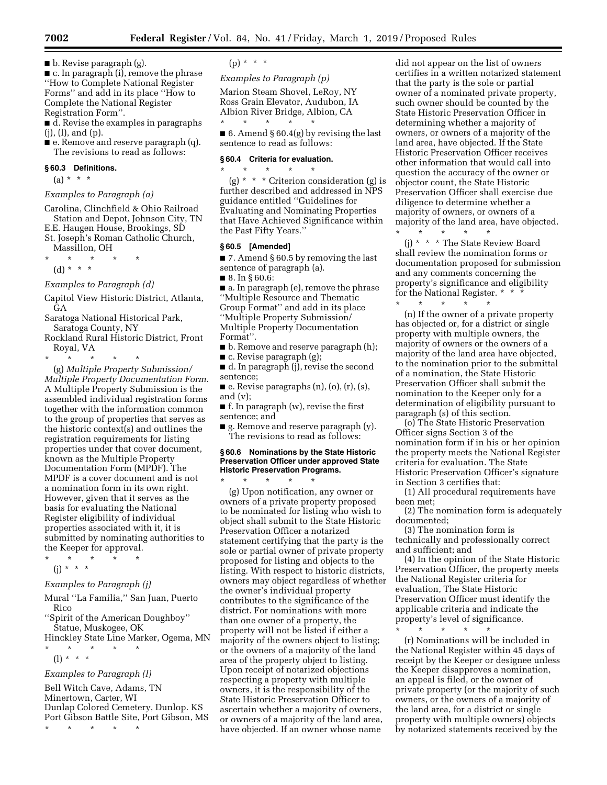■ b. Revise paragraph (g).

■ c. In paragraph (i), remove the phrase ''How to Complete National Register Forms'' and add in its place ''How to Complete the National Register Registration Form''.

■ d. Revise the examples in paragraphs (j), (l), and (p).

■ e. Remove and reserve paragraph (q). The revisions to read as follows:

#### **§ 60.3 Definitions.**

(a) \* \* \*

### *Examples to Paragraph (a)*

Carolina, Clinchfield & Ohio Railroad Station and Depot, Johnson City, TN E.E. Haugen House, Brookings, SD

- St. Joseph's Roman Catholic Church,
- Massillon, OH  $\star$   $\star$
- (d) \* \* \*

*Examples to Paragraph (d)* 

Capitol View Historic District, Atlanta, GA

- Saratoga National Historical Park, Saratoga County, NY
- Rockland Rural Historic District, Front Royal, VA

\* \* \* \* \*

(g) *Multiple Property Submission/ Multiple Property Documentation Form.*  A Multiple Property Submission is the assembled individual registration forms together with the information common to the group of properties that serves as the historic context(s) and outlines the registration requirements for listing properties under that cover document, known as the Multiple Property Documentation Form (MPDF). The MPDF is a cover document and is not a nomination form in its own right. However, given that it serves as the basis for evaluating the National Register eligibility of individual properties associated with it, it is submitted by nominating authorities to the Keeper for approval.

\* \* \* \* \* (j) \* \* \*

# *Examples to Paragraph (j)*

- Mural ''La Familia,'' San Juan, Puerto Rico
- ''Spirit of the American Doughboy'' Statue, Muskogee, OK
- Hinckley State Line Marker, Ogema, MN \* \* \* \* \*
	- (l) \* \* \*

### *Examples to Paragraph (l)*

Bell Witch Cave, Adams, TN Minertown, Carter, WI Dunlap Colored Cemetery, Dunlop. KS Port Gibson Battle Site, Port Gibson, MS \* \* \* \* \*

 $(p) * * * *$ 

# *Examples to Paragraph (p)*

Marion Steam Shovel, LeRoy, NY Ross Grain Elevator, Audubon, IA Albion River Bridge, Albion, CA

\* \* \* \* \* ■ 6. Amend § 60.4(g) by revising the last sentence to read as follows:

#### **§ 60.4 Criteria for evaluation.**

\* \* \* \* \*

(g)  $*$  \* \* Criterion consideration (g) is further described and addressed in NPS guidance entitled ''Guidelines for Evaluating and Nominating Properties that Have Achieved Significance within the Past Fifty Years.''

# **§ 60.5 [Amended]**

■ 7. Amend § 60.5 by removing the last sentence of paragraph (a).

■ 8. In § 60.6:

■ a. In paragraph (e), remove the phrase ''Multiple Resource and Thematic Group Format'' and add in its place ''Multiple Property Submission/ Multiple Property Documentation Format''.

- b. Remove and reserve paragraph (h);
- c. Revise paragraph (g);

■ d. In paragraph (j), revise the second sentence;

 $\blacksquare$  e. Revise paragraphs  $(n)$ ,  $(o)$ ,  $(r)$ ,  $(s)$ , and (v);

■ f. In paragraph (w), revise the first sentence; and

■ g. Remove and reserve paragraph (y). The revisions to read as follows:

# **§ 60.6 Nominations by the State Historic Preservation Officer under approved State Historic Preservation Programs.**

\* \* \* \* \* (g) Upon notification, any owner or owners of a private property proposed to be nominated for listing who wish to object shall submit to the State Historic Preservation Officer a notarized statement certifying that the party is the sole or partial owner of private property proposed for listing and objects to the listing. With respect to historic districts, owners may object regardless of whether the owner's individual property contributes to the significance of the district. For nominations with more than one owner of a property, the property will not be listed if either a majority of the owners object to listing; or the owners of a majority of the land area of the property object to listing. Upon receipt of notarized objections respecting a property with multiple owners, it is the responsibility of the State Historic Preservation Officer to ascertain whether a majority of owners, or owners of a majority of the land area, have objected. If an owner whose name

did not appear on the list of owners certifies in a written notarized statement that the party is the sole or partial owner of a nominated private property, such owner should be counted by the State Historic Preservation Officer in determining whether a majority of owners, or owners of a majority of the land area, have objected. If the State Historic Preservation Officer receives other information that would call into question the accuracy of the owner or objector count, the State Historic Preservation Officer shall exercise due diligence to determine whether a majority of owners, or owners of a majority of the land area, have objected.

\* \* \* \* \*

(j) \* \* \* The State Review Board shall review the nomination forms or documentation proposed for submission and any comments concerning the property's significance and eligibility for the National Register. \* \* \*

\* \* \* \* \* (n) If the owner of a private property has objected or, for a district or single property with multiple owners, the majority of owners or the owners of a majority of the land area have objected, to the nomination prior to the submittal of a nomination, the State Historic Preservation Officer shall submit the nomination to the Keeper only for a determination of eligibility pursuant to paragraph (s) of this section.

(o) The State Historic Preservation Officer signs Section 3 of the nomination form if in his or her opinion the property meets the National Register criteria for evaluation. The State Historic Preservation Officer's signature in Section 3 certifies that:

(1) All procedural requirements have been met;

(2) The nomination form is adequately documented;

(3) The nomination form is technically and professionally correct and sufficient; and

(4) In the opinion of the State Historic Preservation Officer, the property meets the National Register criteria for evaluation, The State Historic Preservation Officer must identify the applicable criteria and indicate the property's level of significance.

\* \* \* \* \*

(r) Nominations will be included in the National Register within 45 days of receipt by the Keeper or designee unless the Keeper disapproves a nomination, an appeal is filed, or the owner of private property (or the majority of such owners, or the owners of a majority of the land area, for a district or single property with multiple owners) objects by notarized statements received by the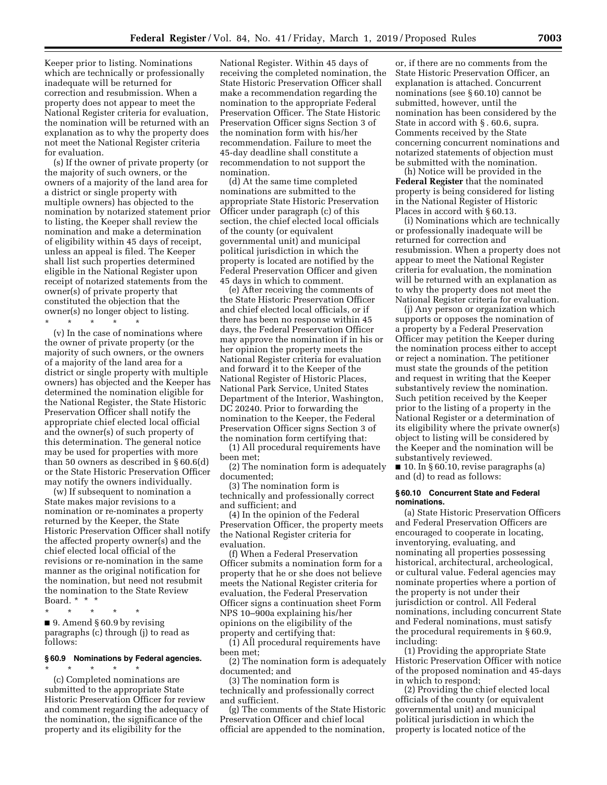Keeper prior to listing. Nominations which are technically or professionally inadequate will be returned for correction and resubmission. When a property does not appear to meet the National Register criteria for evaluation, the nomination will be returned with an explanation as to why the property does not meet the National Register criteria for evaluation.

(s) If the owner of private property (or the majority of such owners, or the owners of a majority of the land area for a district or single property with multiple owners) has objected to the nomination by notarized statement prior to listing, the Keeper shall review the nomination and make a determination of eligibility within 45 days of receipt, unless an appeal is filed. The Keeper shall list such properties determined eligible in the National Register upon receipt of notarized statements from the owner(s) of private property that constituted the objection that the owner(s) no longer object to listing.

\* \* \* \* \*

(v) In the case of nominations where the owner of private property (or the majority of such owners, or the owners of a majority of the land area for a district or single property with multiple owners) has objected and the Keeper has determined the nomination eligible for the National Register, the State Historic Preservation Officer shall notify the appropriate chief elected local official and the owner(s) of such property of this determination. The general notice may be used for properties with more than 50 owners as described in § 60.6(d) or the State Historic Preservation Officer may notify the owners individually.

(w) If subsequent to nomination a State makes major revisions to a nomination or re-nominates a property returned by the Keeper, the State Historic Preservation Officer shall notify the affected property owner(s) and the chief elected local official of the revisions or re-nomination in the same manner as the original notification for the nomination, but need not resubmit the nomination to the State Review Board. \* \* \*

\* \* \* \* \*

■ 9. Amend § 60.9 by revising paragraphs (c) through (j) to read as follows:

### **§ 60.9 Nominations by Federal agencies.**

\* \* \* \* \* (c) Completed nominations are submitted to the appropriate State Historic Preservation Officer for review and comment regarding the adequacy of the nomination, the significance of the property and its eligibility for the

National Register. Within 45 days of receiving the completed nomination, the State Historic Preservation Officer shall make a recommendation regarding the nomination to the appropriate Federal Preservation Officer. The State Historic Preservation Officer signs Section 3 of the nomination form with his/her recommendation. Failure to meet the 45-day deadline shall constitute a recommendation to not support the nomination.

(d) At the same time completed nominations are submitted to the appropriate State Historic Preservation Officer under paragraph (c) of this section, the chief elected local officials of the county (or equivalent governmental unit) and municipal political jurisdiction in which the property is located are notified by the Federal Preservation Officer and given 45 days in which to comment.

(e) After receiving the comments of the State Historic Preservation Officer and chief elected local officials, or if there has been no response within 45 days, the Federal Preservation Officer may approve the nomination if in his or her opinion the property meets the National Register criteria for evaluation and forward it to the Keeper of the National Register of Historic Places, National Park Service, United States Department of the Interior, Washington, DC 20240. Prior to forwarding the nomination to the Keeper, the Federal Preservation Officer signs Section 3 of the nomination form certifying that:

(1) All procedural requirements have been met;

(2) The nomination form is adequately documented;

(3) The nomination form is technically and professionally correct and sufficient; and

(4) In the opinion of the Federal Preservation Officer, the property meets the National Register criteria for evaluation.

(f) When a Federal Preservation Officer submits a nomination form for a property that he or she does not believe meets the National Register criteria for evaluation, the Federal Preservation Officer signs a continuation sheet Form NPS 10–900a explaining his/her opinions on the eligibility of the property and certifying that:

(1) All procedural requirements have been met;

(2) The nomination form is adequately documented; and

(3) The nomination form is technically and professionally correct and sufficient.

(g) The comments of the State Historic Preservation Officer and chief local official are appended to the nomination,

or, if there are no comments from the State Historic Preservation Officer, an explanation is attached. Concurrent nominations (see § 60.10) cannot be submitted, however, until the nomination has been considered by the State in accord with § . 60.6, supra. Comments received by the State concerning concurrent nominations and notarized statements of objection must be submitted with the nomination.

(h) Notice will be provided in the **Federal Register** that the nominated property is being considered for listing in the National Register of Historic Places in accord with § 60.13.

(i) Nominations which are technically or professionally inadequate will be returned for correction and resubmission. When a property does not appear to meet the National Register criteria for evaluation, the nomination will be returned with an explanation as to why the property does not meet the National Register criteria for evaluation.

(j) Any person or organization which supports or opposes the nomination of a property by a Federal Preservation Officer may petition the Keeper during the nomination process either to accept or reject a nomination. The petitioner must state the grounds of the petition and request in writing that the Keeper substantively review the nomination. Such petition received by the Keeper prior to the listing of a property in the National Register or a determination of its eligibility where the private owner(s) object to listing will be considered by the Keeper and the nomination will be substantively reviewed.

■ 10. In § 60.10, revise paragraphs (a) and (d) to read as follows:

#### **§ 60.10 Concurrent State and Federal nominations.**

(a) State Historic Preservation Officers and Federal Preservation Officers are encouraged to cooperate in locating, inventorying, evaluating, and nominating all properties possessing historical, architectural, archeological, or cultural value. Federal agencies may nominate properties where a portion of the property is not under their jurisdiction or control. All Federal nominations, including concurrent State and Federal nominations, must satisfy the procedural requirements in § 60.9, including:

(1) Providing the appropriate State Historic Preservation Officer with notice of the proposed nomination and 45-days in which to respond;

(2) Providing the chief elected local officials of the county (or equivalent governmental unit) and municipal political jurisdiction in which the property is located notice of the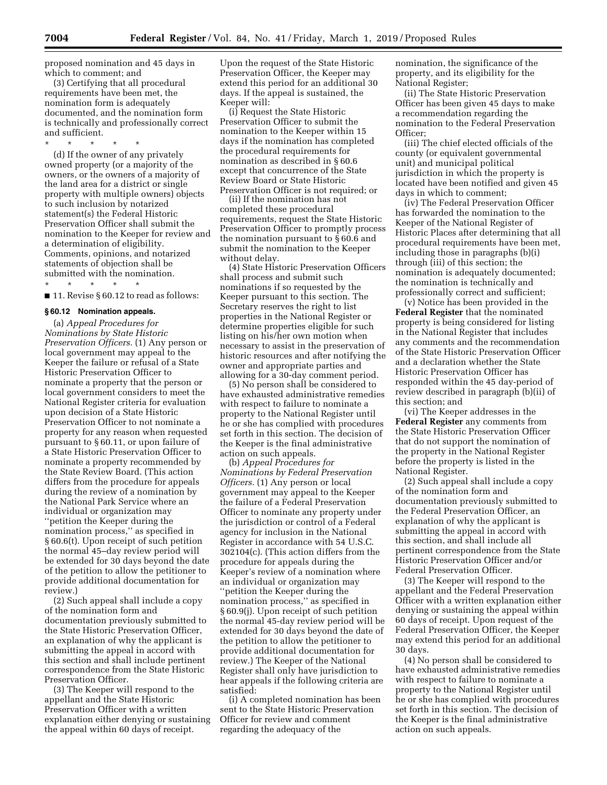proposed nomination and 45 days in which to comment; and

(3) Certifying that all procedural requirements have been met, the nomination form is adequately documented, and the nomination form is technically and professionally correct and sufficient.

\* \* \* \* \*

(d) If the owner of any privately owned property (or a majority of the owners, or the owners of a majority of the land area for a district or single property with multiple owners) objects to such inclusion by notarized statement(s) the Federal Historic Preservation Officer shall submit the nomination to the Keeper for review and a determination of eligibility. Comments, opinions, and notarized statements of objection shall be submitted with the nomination.

\* \* \* \* \* ■ 11. Revise § 60.12 to read as follows:

### **§ 60.12 Nomination appeals.**

(a) *Appeal Procedures for Nominations by State Historic Preservation Officers.* (1) Any person or local government may appeal to the Keeper the failure or refusal of a State Historic Preservation Officer to nominate a property that the person or local government considers to meet the National Register criteria for evaluation upon decision of a State Historic Preservation Officer to not nominate a property for any reason when requested pursuant to § 60.11, or upon failure of a State Historic Preservation Officer to nominate a property recommended by the State Review Board. (This action differs from the procedure for appeals during the review of a nomination by the National Park Service where an individual or organization may ''petition the Keeper during the nomination process,'' as specified in § 60.6(t). Upon receipt of such petition the normal 45–day review period will be extended for 30 days beyond the date of the petition to allow the petitioner to provide additional documentation for review.)

(2) Such appeal shall include a copy of the nomination form and documentation previously submitted to the State Historic Preservation Officer, an explanation of why the applicant is submitting the appeal in accord with this section and shall include pertinent correspondence from the State Historic Preservation Officer.

(3) The Keeper will respond to the appellant and the State Historic Preservation Officer with a written explanation either denying or sustaining the appeal within 60 days of receipt.

Upon the request of the State Historic Preservation Officer, the Keeper may extend this period for an additional 30 days. If the appeal is sustained, the Keeper will:

(i) Request the State Historic Preservation Officer to submit the nomination to the Keeper within 15 days if the nomination has completed the procedural requirements for nomination as described in § 60.6 except that concurrence of the State Review Board or State Historic Preservation Officer is not required; or

(ii) If the nomination has not completed these procedural requirements, request the State Historic Preservation Officer to promptly process the nomination pursuant to § 60.6 and submit the nomination to the Keeper without delay.

(4) State Historic Preservation Officers shall process and submit such nominations if so requested by the Keeper pursuant to this section. The Secretary reserves the right to list properties in the National Register or determine properties eligible for such listing on his/her own motion when necessary to assist in the preservation of historic resources and after notifying the owner and appropriate parties and allowing for a 30-day comment period.

(5) No person shall be considered to have exhausted administrative remedies with respect to failure to nominate a property to the National Register until he or she has complied with procedures set forth in this section. The decision of the Keeper is the final administrative action on such appeals.

(b) *Appeal Procedures for Nominations by Federal Preservation Officers.* (1) Any person or local government may appeal to the Keeper the failure of a Federal Preservation Officer to nominate any property under the jurisdiction or control of a Federal agency for inclusion in the National Register in accordance with 54 U.S.C. 302104(c). (This action differs from the procedure for appeals during the Keeper's review of a nomination where an individual or organization may ''petition the Keeper during the nomination process,'' as specified in § 60.9(j). Upon receipt of such petition the normal 45-day review period will be extended for 30 days beyond the date of the petition to allow the petitioner to provide additional documentation for review.) The Keeper of the National Register shall only have jurisdiction to hear appeals if the following criteria are satisfied:

(i) A completed nomination has been sent to the State Historic Preservation Officer for review and comment regarding the adequacy of the

nomination, the significance of the property, and its eligibility for the National Register;

(ii) The State Historic Preservation Officer has been given 45 days to make a recommendation regarding the nomination to the Federal Preservation Officer;

(iii) The chief elected officials of the county (or equivalent governmental unit) and municipal political jurisdiction in which the property is located have been notified and given 45 days in which to comment;

(iv) The Federal Preservation Officer has forwarded the nomination to the Keeper of the National Register of Historic Places after determining that all procedural requirements have been met, including those in paragraphs (b)(i) through (iii) of this section; the nomination is adequately documented; the nomination is technically and professionally correct and sufficient;

(v) Notice has been provided in the **Federal Register** that the nominated property is being considered for listing in the National Register that includes any comments and the recommendation of the State Historic Preservation Officer and a declaration whether the State Historic Preservation Officer has responded within the 45 day-period of review described in paragraph (b)(ii) of this section; and

(vi) The Keeper addresses in the **Federal Register** any comments from the State Historic Preservation Officer that do not support the nomination of the property in the National Register before the property is listed in the National Register.

(2) Such appeal shall include a copy of the nomination form and documentation previously submitted to the Federal Preservation Officer, an explanation of why the applicant is submitting the appeal in accord with this section, and shall include all pertinent correspondence from the State Historic Preservation Officer and/or Federal Preservation Officer.

(3) The Keeper will respond to the appellant and the Federal Preservation Officer with a written explanation either denying or sustaining the appeal within 60 days of receipt. Upon request of the Federal Preservation Officer, the Keeper may extend this period for an additional 30 days.

(4) No person shall be considered to have exhausted administrative remedies with respect to failure to nominate a property to the National Register until he or she has complied with procedures set forth in this section. The decision of the Keeper is the final administrative action on such appeals.